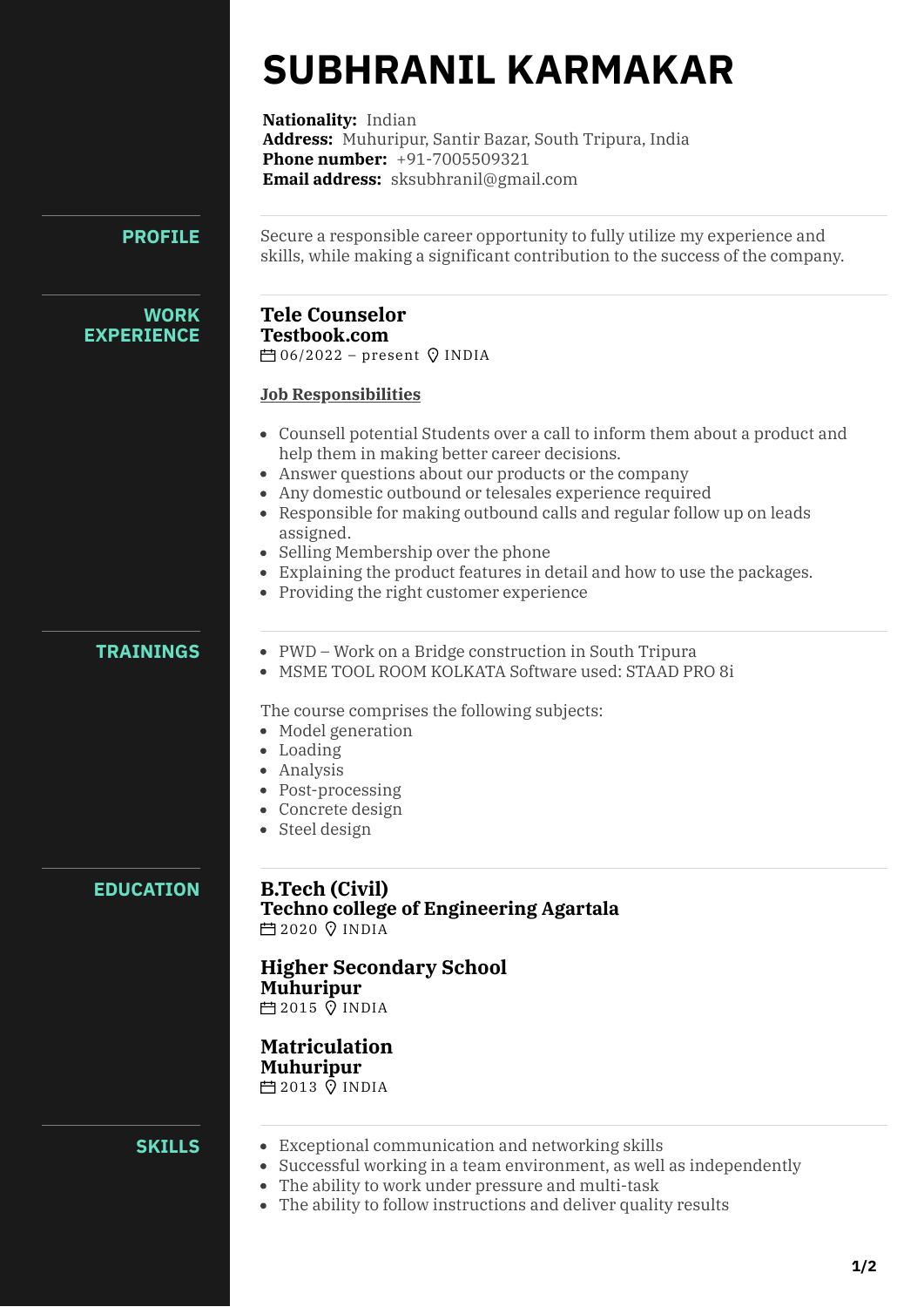# **SUBHRANIL KARMAKAR**

**Nationality:** Indian **Address:** Muhuripur, Santir Bazar, South Tripura, India **Phone number:** [+91-7005509321](tel:+91-7005509321) **Email address:** [sksubhranil@gmail.com](mailto:sksubhranil@gmail.com)

## **PROFILE**

Secure a responsible career opportunity to fully utilize my experience and skills, while making a significant contribution to the success of the company.

### **WORK EXPERIENCE**

#### **Tele Counselor Testbook.com**  $\Box$ 06/2022 – present  $\heartsuit$  INDIA

## **Job Responsibilities**

- Counsell potential Students over a call to inform them about a product and help them in making better career decisions.
- Answer questions about our products or the company
- Any domestic outbound or telesales experience required
- Responsible for making outbound calls and regular follow up on leads assigned.
- Selling Membership over the phone
- Explaining the product features in detail and how to use the packages.
- Providing the right customer experience

## **TRAININGS**

- PWD Work on a Bridge construction in South Tripura
- MSME TOOL ROOM KOLKATA Software used: STAAD PRO 8i

The course comprises the following subjects:

- Model generation
- Loading
- Analysis
- Post-processing
- Concrete design
- Steel design

# **EDUCATION**

#### **B.Tech (Civil) Techno college of Engineering Agartala 曲2020 Q INDIA**

#### **Higher Secondary School Muhuripur**

 $\overline{P}$ 12015  $\overline{Q}$  INDIA

#### **Matriculation Muhuripur**

**门2013 VINDIA** 

## **SKILLS**

- Exceptional communication and networking skills
- Successful working in a team environment, as well as independently
- The ability to work under pressure and multi-task
- The ability to follow instructions and deliver quality results